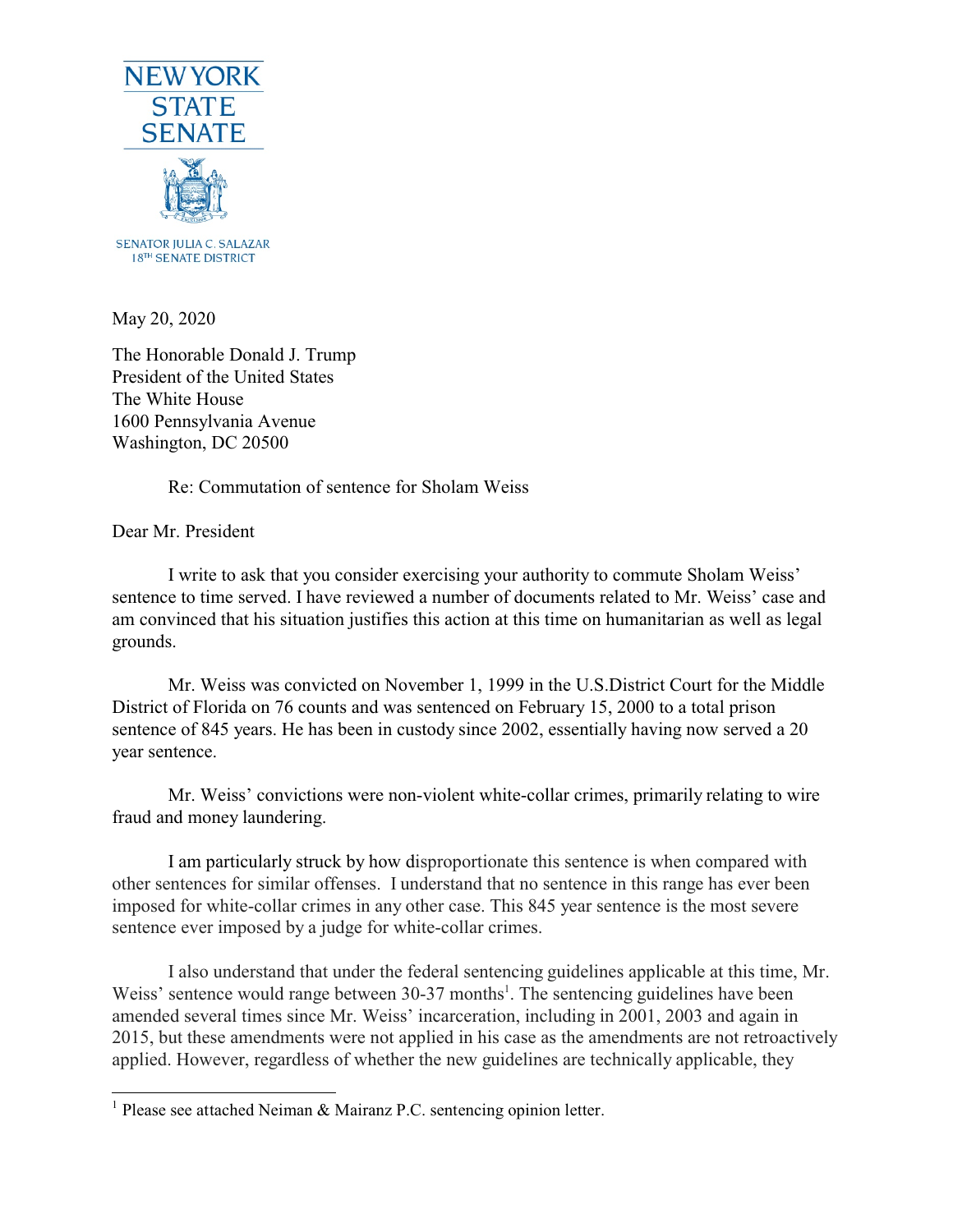

May 20, 2020

The Honorable Donald J. Trump President of the United States The White House 1600 Pennsylvania Avenue Washington, DC 20500

Re: Commutation of sentence for Sholam Weiss

Dear Mr. President

I write to ask that you consider exercising your authority to commute Sholam Weiss' sentence to time served. I have reviewed a number of documents related to Mr. Weiss' case and am convinced that his situation justifies this action at this time on humanitarian as well as legal grounds.

Mr. Weiss was convicted on November 1, 1999 in the U.S.District Court for the Middle District of Florida on 76 counts and was sentenced on February 15, 2000 to a total prison sentence of 845 years. He has been in custody since 2002, essentially having now served a 20 year sentence.

Mr. Weiss' convictions were non-violent white-collar crimes, primarily relating to wire fraud and money laundering.

I am particularly struck by how disproportionate this sentence is when compared with other sentences for similar offenses. I understand that no sentence in this range has ever been imposed for white-collar crimes in any other case. This 845 year sentence is the most severe sentence ever imposed by a judge for white-collar crimes.

I also understand that under the federal sentencing guidelines applicable at this time, Mr. Weiss' sentence would range between 30-37 months<sup>1</sup>. The sentencing guidelines have been amended several times since Mr. Weiss' incarceration, including in 2001, 2003 and again in 2015, but these amendments were not applied in his case as the amendments are not retroactively applied. However, regardless of whether the new guidelines are technically applicable, they

<sup>&</sup>lt;sup>1</sup> Please see attached Neiman & Mairanz P.C. sentencing opinion letter.